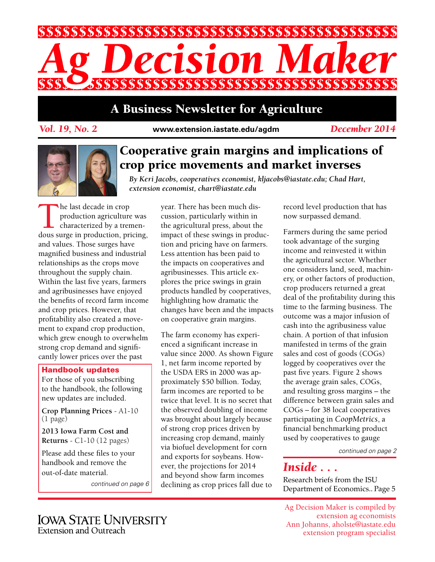

## A Business Newsletter for Agriculture

*Vol. 19, No. 2* **www.extension.iastate.edu/agdm**

*December 2014*



## Cooperative grain margins and implications of crop price movements and market inverses

*By Keri Jacobs, cooperatives economist, kljacobs@iastate.edu; Chad Hart, extension economist, chart@iastate.edu*

The last decade in crop<br>production agriculture<br>characterized by a trendous surge in production pri production agriculture was characterized by a tremendous surge in production, pricing, and values. Those surges have magnified business and industrial relationships as the crops move throughout the supply chain. Within the last five years, farmers and agribusinesses have enjoyed the benefits of record farm income and crop prices. However, that profitability also created a movement to expand crop production, which grew enough to overwhelm strong crop demand and significantly lower prices over the past

### Handbook updates

For those of you subscribing to the handbook, the following new updates are included.

**Crop Planning Prices** - A1-10 (1 page)

**2013 Iowa Farm Cost and Returns** - C1-10 (12 pages)

Please add these files to your handbook and remove the out-of-date material.

*continued on page 6*

year. There has been much discussion, particularly within in the agricultural press, about the impact of these swings in production and pricing have on farmers. Less attention has been paid to the impacts on cooperatives and agribusinesses. This article explores the price swings in grain products handled by cooperatives, highlighting how dramatic the changes have been and the impacts on cooperative grain margins.

The farm economy has experienced a significant increase in value since 2000. As shown Figure 1, net farm income reported by the USDA ERS in 2000 was approximately \$50 billion. Today, farm incomes are reported to be twice that level. It is no secret that the observed doubling of income was brought about largely because of strong crop prices driven by increasing crop demand, mainly via biofuel development for corn and exports for soybeans. However, the projections for 2014 and beyond show farm incomes declining as crop prices fall due to

record level production that has now surpassed demand.

Farmers during the same period took advantage of the surging income and reinvested it within the agricultural sector. Whether one considers land, seed, machinery, or other factors of production, crop producers returned a great deal of the profitability during this time to the farming business. The outcome was a major infusion of cash into the agribusiness value chain. A portion of that infusion manifested in terms of the grain sales and cost of goods (COGs) logged by cooperatives over the past five years. Figure 2 shows the average grain sales, COGs, and resulting gross margins – the difference between grain sales and COGs – for 38 local cooperatives participating in *CoopMetrics*, a financial benchmarking product used by cooperatives to gauge

*continued on page 2*

## *Inside . . .*

Research briefs from the ISU Department of Economics.. Page 5

Ag Decision Maker is compiled by extension ag economists Ann Johanns, aholste@iastate.edu extension program specialist

**IOWA STATE UNIVERSITY** Extension and Outreach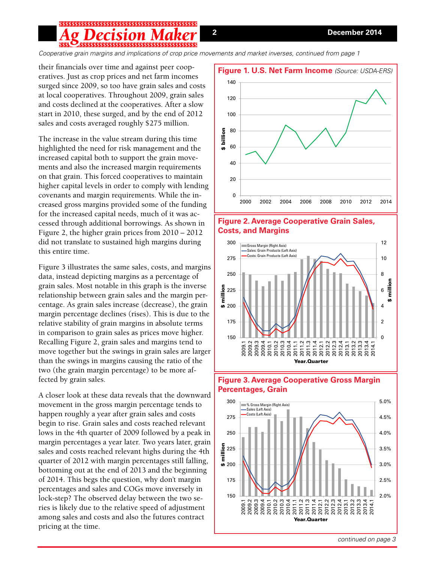# 5\$\$\$\$\$\$\$\$\$\$\$\$\$\$\$\$\$\$\$\$\$\$\$\$\$\$\$\$\$\$\$\$\$\$\$\$\$

*Cooperative grain margins and implications of crop price movements and market inverses, continued from page 1*

their financials over time and against peer cooperatives. Just as crop prices and net farm incomes surged since 2009, so too have grain sales and costs at local cooperatives. Throughout 2009, grain sales and costs declined at the cooperatives. After a slow start in 2010, these surged, and by the end of 2012 sales and costs averaged roughly \$275 million.

The increase in the value stream during this time highlighted the need for risk management and the increased capital both to support the grain movements and also the increased margin requirements on that grain. This forced cooperatives to maintain higher capital levels in order to comply with lending covenants and margin requirements. While the increased gross margins provided some of the funding for the increased capital needs, much of it was accessed through additional borrowings. As shown in Figure 2, the higher grain prices from 2010 – 2012 did not translate to sustained high margins during this entire time.

Figure 3 illustrates the same sales, costs, and margins data, instead depicting margins as a percentage of grain sales. Most notable in this graph is the inverse relationship between grain sales and the margin percentage. As grain sales increase (decrease), the grain margin percentage declines (rises). This is due to the relative stability of grain margins in absolute terms in comparison to grain sales as prices move higher. Recalling Figure 2, grain sales and margins tend to move together but the swings in grain sales are larger than the swings in margins causing the ratio of the two (the grain margin percentage) to be more affected by grain sales.

A closer look at these data reveals that the downward movement in the gross margin percentage tends to happen roughly a year after grain sales and costs begin to rise. Grain sales and costs reached relevant lows in the 4th quarter of 2009 followed by a peak in margin percentages a year later. Two years later, grain sales and costs reached relevant highs during the 4th quarter of 2012 with margin percentages still falling, bottoming out at the end of 2013 and the beginning of 2014. This begs the question, why don't margin percentages and sales and COGs move inversely in lock-step? The observed delay between the two series is likely due to the relative speed of adjustment among sales and costs and also the futures contract pricing at the time.









### **Figure 3. Average Cooperative Gross Margin Percentages, Grain**

*continued on page 3*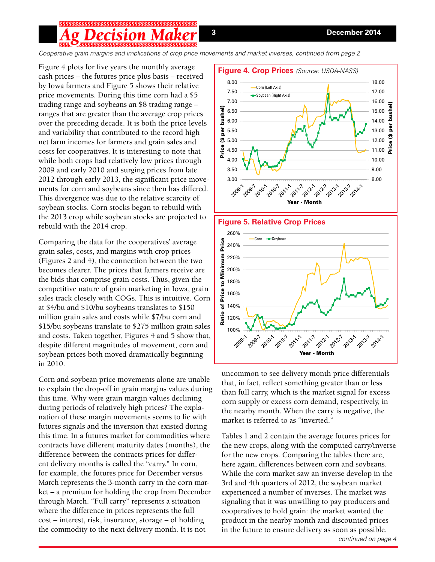## **1S10N**

*Cooperative grain margins and implications of crop price movements and market inverses, continued from page 2*

Figure 4 plots for five years the monthly average cash prices – the futures price plus basis – received by Iowa farmers and Figure 5 shows their relative price movements. During this time corn had a \$5 trading range and soybeans an \$8 trading range – ranges that are greater than the average crop prices over the preceding decade. It is both the price levels and variability that contributed to the record high net farm incomes for farmers and grain sales and costs for cooperatives. It is interesting to note that while both crops had relatively low prices through 2009 and early 2010 and surging prices from late 2012 through early 2013, the significant price movements for corn and soybeans since then has differed. This divergence was due to the relative scarcity of soybean stocks. Corn stocks began to rebuild with the 2013 crop while soybean stocks are projected to rebuild with the 2014 crop.

Comparing the data for the cooperatives' average grain sales, costs, and margins with crop prices (Figures 2 and 4), the connection between the two becomes clearer. The prices that farmers receive are the bids that comprise grain costs. Thus, given the competitive nature of grain marketing in Iowa, grain sales track closely with COGs. This is intuitive. Corn at \$4/bu and \$10/bu soybeans translates to \$150 million grain sales and costs while \$7/bu corn and \$15/bu soybeans translate to \$275 million grain sales and costs. Taken together, Figures 4 and 5 show that, despite different magnitudes of movement, corn and soybean prices both moved dramatically beginning in 2010.

Corn and soybean price movements alone are unable to explain the drop-off in grain margins values during this time. Why were grain margin values declining during periods of relatively high prices? The explanation of these margin movements seems to lie with futures signals and the inversion that existed during this time. In a futures market for commodities where contracts have different maturity dates (months), the difference between the contracts prices for different delivery months is called the "carry." In corn, for example, the futures price for December versus March represents the 3-month carry in the corn market – a premium for holding the crop from December through March. "Full carry" represents a situation where the difference in prices represents the full cost – interest, risk, insurance, storage – of holding the commodity to the next delivery month. It is not





uncommon to see delivery month price differentials that, in fact, reflect something greater than or less than full carry, which is the market signal for excess corn supply or excess corn demand, respectively, in the nearby month. When the carry is negative, the market is referred to as "inverted."

Tables 1 and 2 contain the average futures prices for the new crops, along with the computed carry/inverse for the new crops. Comparing the tables there are, here again, differences between corn and soybeans. While the corn market saw an inverse develop in the 3rd and 4th quarters of 2012, the soybean market experienced a number of inverses. The market was signaling that it was unwilling to pay producers and cooperatives to hold grain: the market wanted the product in the nearby month and discounted prices in the future to ensure delivery as soon as possible.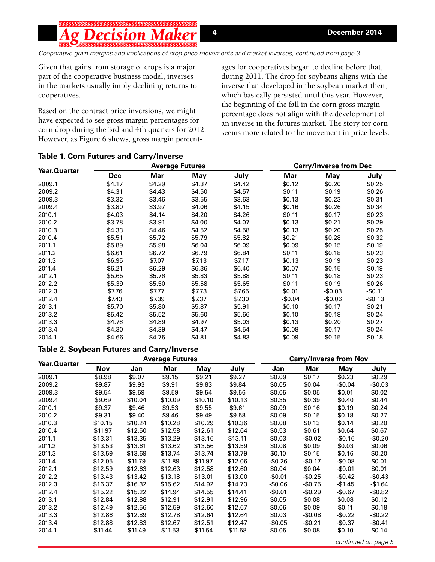# \$\$\$\$

*Cooperative grain margins and implications of crop price movements and market inverses, continued from page 3*

Given that gains from storage of crops is a major part of the cooperative business model, inverses in the markets usually imply declining returns to cooperatives.

Based on the contract price inversions, we might have expected to see gross margin percentages for corn drop during the 3rd and 4th quarters for 2012. However, as Figure 6 shows, gross margin percentages for cooperatives began to decline before that, during 2011. The drop for soybeans aligns with the inverse that developed in the soybean market then, which basically persisted until this year. However, the beginning of the fall in the corn gross margin percentage does not align with the development of an inverse in the futures market. The story for corn seems more related to the movement in price levels.

| Year.Quarter |            |        | <b>Average Futures</b> | <b>Carry/Inverse from Dec</b> |          |            |          |
|--------------|------------|--------|------------------------|-------------------------------|----------|------------|----------|
|              | <b>Dec</b> | Mar    | <b>May</b>             | July                          | Mar      | <b>May</b> | July     |
| 2009.1       | \$4.17     | \$4.29 | \$4.37                 | \$4.42                        | \$0.12   | \$0.20     | \$0.25   |
| 2009.2       | \$4.31     | \$4.43 | \$4.50                 | \$4.57                        | \$0.11   | \$0.19     | \$0.26   |
| 2009.3       | \$3.32     | \$3.46 | \$3.55                 | \$3.63                        | \$0.13   | \$0.23     | \$0.31   |
| 2009.4       | \$3.80     | \$3.97 | \$4.06                 | \$4.15                        | \$0.16   | \$0.26     | \$0.34   |
| 2010.1       | \$4.03     | \$4.14 | \$4.20                 | \$4.26                        | \$0.11   | \$0.17     | \$0.23   |
| 2010.2       | \$3.78     | \$3.91 | \$4.00                 | \$4.07                        | \$0.13   | \$0.21     | \$0.29   |
| 2010.3       | \$4.33     | \$4.46 | \$4.52                 | \$4.58                        | \$0.13   | \$0.20     | \$0.25   |
| 2010.4       | \$5.51     | \$5.72 | \$5.79                 | \$5.82                        | \$0.21   | \$0.28     | \$0.32   |
| 2011.1       | \$5.89     | \$5.98 | \$6.04                 | \$6.09                        | \$0.09   | \$0.15     | \$0.19   |
| 2011.2       | \$6.61     | \$6.72 | \$6.79                 | \$6.84                        | \$0.11   | \$0.18     | \$0.23   |
| 2011.3       | \$6.95     | \$7.07 | \$7.13                 | \$7.17                        | \$0.13   | \$0.19     | \$0.23   |
| 2011.4       | \$6.21     | \$6.29 | \$6.36                 | \$6.40                        | \$0.07   | \$0.15     | \$0.19   |
| 2012.1       | \$5.65     | \$5.76 | \$5.83                 | \$5.88                        | \$0.11   | \$0.18     | \$0.23   |
| 2012.2       | \$5.39     | \$5.50 | \$5.58                 | \$5.65                        | \$0.11   | \$0.19     | \$0.26   |
| 2012.3       | \$7.76     | \$7.77 | \$7.73                 | \$7.65                        | \$0.01   | $-$0.03$   | $-$0.11$ |
| 2012.4       | \$7.43     | \$7.39 | \$7.37                 | \$7.30                        | $-$0.04$ | $-$0.06$   | $-$0.13$ |
| 2013.1       | \$5.70     | \$5.80 | \$5.87                 | \$5.91                        | \$0.10   | \$0.17     | \$0.21   |
| 2013.2       | \$5.42     | \$5.52 | \$5.60                 | \$5.66                        | \$0.10   | \$0.18     | \$0.24   |
| 2013.3       | \$4.76     | \$4.89 | \$4.97                 | \$5.03                        | \$0.13   | \$0.20     | \$0.27   |
| 2013.4       | \$4.30     | \$4.39 | \$4.47                 | \$4.54                        | \$0.08   | \$0.17     | \$0.24   |
| 2014.1       | \$4.66     | \$4.75 | \$4.81                 | \$4.83                        | \$0.09   | \$0.15     | \$0.18   |

### **Table 1. Corn Futures and Carry/Inverse**

### **Table 2. Soybean Futures and Carry/Inverse**

| Year.Quarter | <b>Average Futures</b> |         |         |         |         | <b>Carry/Inverse from Nov</b> |          |          |          |
|--------------|------------------------|---------|---------|---------|---------|-------------------------------|----------|----------|----------|
|              | <b>Nov</b>             | Jan     | Mar     | May     | July    | Jan                           | Mar      | May      | July     |
| 2009.1       | \$8.98                 | \$9.07  | \$9.15  | \$9.21  | \$9.27  | \$0.09                        | \$0.17   | \$0.23   | \$0.29   |
| 2009.2       | \$9.87                 | \$9.93  | \$9.91  | \$9.83  | \$9.84  | \$0.05                        | \$0.04   | $-$0.04$ | $-$0.03$ |
| 2009.3       | \$9.54                 | \$9.59  | \$9.59  | \$9.54  | \$9.56  | \$0.05                        | \$0.05   | \$0.01   | \$0.02   |
| 2009.4       | \$9.69                 | \$10.04 | \$10.09 | \$10.10 | \$10.13 | \$0.35                        | \$0.39   | \$0.40   | \$0.44   |
| 2010.1       | \$9.37                 | \$9.46  | \$9.53  | \$9.55  | \$9.61  | \$0.09                        | \$0.16   | \$0.19   | \$0.24   |
| 2010.2       | \$9.31                 | \$9.40  | \$9.46  | \$9.49  | \$9.58  | \$0.09                        | \$0.15   | \$0.18   | \$0.27   |
| 2010.3       | \$10.15                | \$10.24 | \$10.28 | \$10.29 | \$10.36 | \$0.08                        | \$0.13   | \$0.14   | \$0.20   |
| 2010.4       | \$11.97                | \$12.50 | \$12.58 | \$12.61 | \$12.64 | \$0.53                        | \$0.61   | \$0.64   | \$0.67   |
| 2011.1       | \$13.31                | \$13.35 | \$13.29 | \$13.16 | \$13.11 | \$0.03                        | $-$0.02$ | $-$0.16$ | $-$0.20$ |
| 2011.2       | \$13.53                | \$13.61 | \$13.62 | \$13.56 | \$13.59 | \$0.08                        | \$0.09   | \$0.03   | \$0.06   |
| 2011.3       | \$13.59                | \$13.69 | \$13.74 | \$13.74 | \$13.79 | \$0.10                        | \$0.15   | \$0.16   | \$0.20   |
| 2011.4       | \$12.05                | \$11.79 | \$11.89 | \$11.97 | \$12.06 | $-$0.26$                      | $-$0.17$ | $-$0.08$ | \$0.01   |
| 2012.1       | \$12.59                | \$12.63 | \$12.63 | \$12.58 | \$12.60 | \$0.04                        | \$0.04   | $-$0.01$ | \$0.01   |
| 2012.2       | \$13.43                | \$13.42 | \$13.18 | \$13.01 | \$13.00 | $-$0.01$                      | $-$0.25$ | $-$0.42$ | $-$0.43$ |
| 2012.3       | \$16.37                | \$16.32 | \$15.62 | \$14.92 | \$14.73 | $-$0.06$                      | $-$0.75$ | $-$1.45$ | $-$1.64$ |
| 2012.4       | \$15.22                | \$15.22 | \$14.94 | \$14.55 | \$14.41 | $-$0.01$                      | $-$0.29$ | $-$0.67$ | $-$0.82$ |
| 2013.1       | \$12.84                | \$12.88 | \$12.91 | \$12.91 | \$12.96 | \$0.05                        | \$0.08   | \$0.08   | \$0.12   |
| 2013.2       | \$12.49                | \$12.56 | \$12.59 | \$12.60 | \$12.67 | \$0.06                        | \$0.09   | \$0.11   | \$0.18   |
| 2013.3       | \$12.86                | \$12.89 | \$12.78 | \$12.64 | \$12.64 | \$0.03                        | $-$0.08$ | $-$0.22$ | $-$0.22$ |
| 2013.4       | \$12.88                | \$12.83 | \$12.67 | \$12.51 | \$12.47 | $-$0.05$                      | $-$0.21$ | $-$0.37$ | $-$0.41$ |
| 2014.1       | \$11.44                | \$11.49 | \$11.53 | \$11.54 | \$11.58 | \$0.05                        | \$0.08   | \$0.10   | \$0.14   |

*continued on page 5*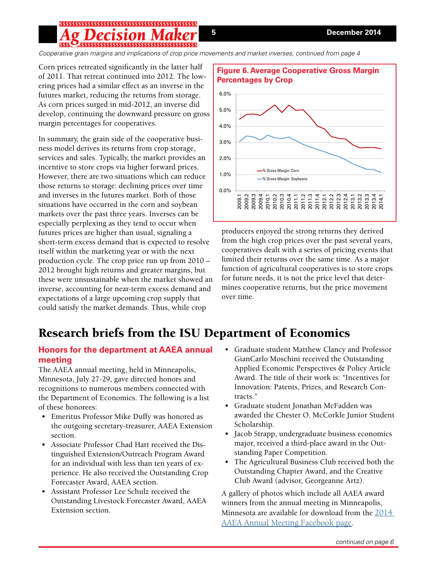# 

*Cooperative grain margins and implications of crop price movements and market inverses, continued from page 4*

Corn prices retreated significantly in the latter half of 2011. That retreat continued into 2012. The lowering prices had a similar effect as an inverse in the futures market, reducing the returns from storage. As corn prices surged in mid-2012, an inverse did develop, continuing the downward pressure on gross margin percentages for cooperatives.

In summary, the grain side of the cooperative business model derives its returns from crop storage, services and sales. Typically, the market provides an incentive to store crops via higher forward prices. However, there are two situations which can reduce those returns to storage: declining prices over time and inverses in the futures market. Both of those situations have occurred in the corn and soybean markets over the past three years. Inverses can be especially perplexing as they tend to occur when futures prices are higher than usual, signaling a short-term excess demand that is expected to resolve itself within the marketing year or with the next production cycle. The crop price run up from 2010 – 2012 brought high returns and greater margins, but these were unsustainable when the market showed an inverse, accounting for near-term excess demand and expectations of a large upcoming crop supply that could satisfy the market demands. Thus, while crop



producers enjoyed the strong returns they derived from the high crop prices over the past several years, cooperatives dealt with a series of pricing events that limited their returns over the same time. As a major function of agricultural cooperatives is to store crops for future needs, it is not the price level that determines cooperative returns, but the price movement over time.

# Research briefs from the ISU Department of Economics

## **Honors for the department at AAEA annual meeting**

The AAEA annual meeting, held in Minneapolis, Minnesota, July 27-29, gave directed honors and recognitions to numerous members connected with the Department of Economics. The following is a list of these honorees:

- Emeritus Professor Mike Duffy was honored as the outgoing secretary-treasurer, AAEA Extension section.
- Associate Professor Chad Hart received the Distinguished Extension/Outreach Program Award for an individual with less than ten years of experience. He also received the Outstanding Crop Forecaster Award, AAEA section.
- Assistant Professor Lee Schulz received the Outstanding Livestock Forecaster Award, AAEA Extension section.
- Graduate student Matthew Clancy and Professor GianCarlo Moschini received the Outstanding Applied Economic Perspectives & Policy Article Award. The title of their work is: "Incentives for Innovation: Patents, Prizes, and Research Contracts."
- Graduate student Jonathan McFadden was awarded the Chester O. McCorkle Junior Student Scholarship.
- Jacob Strapp, undergraduate business economics major, received a third-place award in the Outstanding Paper Competition.
- The Agricultural Business Club received both the Outstanding Chapter Award, and the Creative Club Award (advisor, Georgeanne Artz).

A gallery of photos which include all AAEA award winners from the annual meeting in Minneapolis, Minnesota are available for download from the [2014](https://www.facebook.com/profile.php?id=100005957295951&fref=ts)  [AAEA Annual Meeting Facebook page](https://www.facebook.com/profile.php?id=100005957295951&fref=ts).